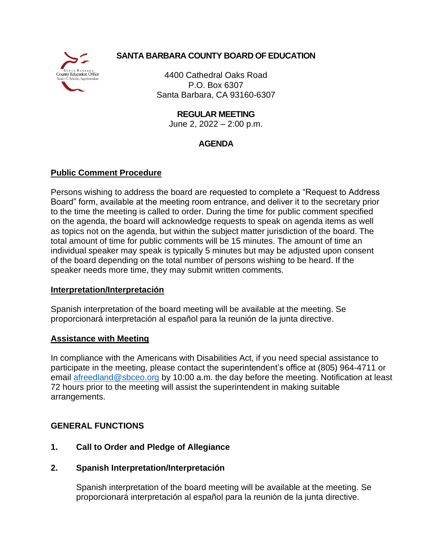

# **SANTA BARBARA COUNTY BOARD OF EDUCATION**

4400 Cathedral Oaks Road P.O. Box 6307 Santa Barbara, CA 93160-6307

**REGULAR MEETING**

June 2, 2022 – 2:00 p.m.

# **AGENDA**

## **Public Comment Procedure**

Persons wishing to address the board are requested to complete a "Request to Address Board" form, available at the meeting room entrance, and deliver it to the secretary prior to the time the meeting is called to order. During the time for public comment specified on the agenda, the board will acknowledge requests to speak on agenda items as well as topics not on the agenda, but within the subject matter jurisdiction of the board. The total amount of time for public comments will be 15 minutes. The amount of time an individual speaker may speak is typically 5 minutes but may be adjusted upon consent of the board depending on the total number of persons wishing to be heard. If the speaker needs more time, they may submit written comments.

### **Interpretation/Interpretación**

Spanish interpretation of the board meeting will be available at the meeting. Se proporcionará interpretación al español para la reunión de la junta directive.

### **Assistance with Meeting**

In compliance with the Americans with Disabilities Act, if you need special assistance to participate in the meeting, please contact the superintendent's office at (805) 964-4711 or email [afreedland@sbceo.org](mailto:afreedland@sbceo.org) by 10:00 a.m. the day before the meeting. Notification at least 72 hours prior to the meeting will assist the superintendent in making suitable arrangements.

## **GENERAL FUNCTIONS**

# **1. Call to Order and Pledge of Allegiance**

## **2. Spanish Interpretation/Interpretación**

Spanish interpretation of the board meeting will be available at the meeting. Se proporcionará interpretación al español para la reunión de la junta directive.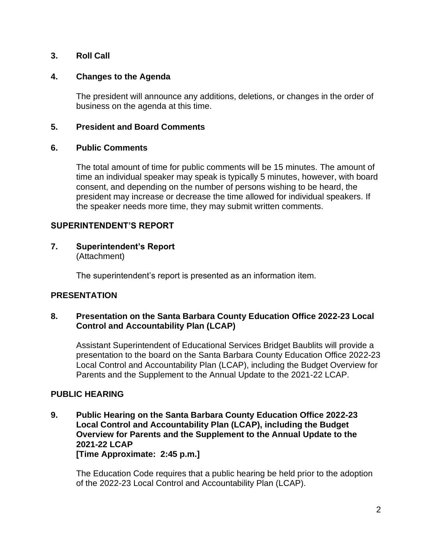## **3. Roll Call**

### **4. Changes to the Agenda**

The president will announce any additions, deletions, or changes in the order of business on the agenda at this time.

### **5. President and Board Comments**

### **6. Public Comments**

The total amount of time for public comments will be 15 minutes. The amount of time an individual speaker may speak is typically 5 minutes, however, with board consent, and depending on the number of persons wishing to be heard, the president may increase or decrease the time allowed for individual speakers. If the speaker needs more time, they may submit written comments.

### **SUPERINTENDENT'S REPORT**

#### **7. Superintendent's Report** (Attachment)

The superintendent's report is presented as an information item.

### **PRESENTATION**

### **8. Presentation on the Santa Barbara County Education Office 2022-23 Local Control and Accountability Plan (LCAP)**

Assistant Superintendent of Educational Services Bridget Baublits will provide a presentation to the board on the Santa Barbara County Education Office 2022-23 Local Control and Accountability Plan (LCAP), including the Budget Overview for Parents and the Supplement to the Annual Update to the 2021-22 LCAP.

### **PUBLIC HEARING**

**9. Public Hearing on the Santa Barbara County Education Office 2022-23 Local Control and Accountability Plan (LCAP), including the Budget Overview for Parents and the Supplement to the Annual Update to the 2021-22 LCAP [Time Approximate: 2:45 p.m.]**

The Education Code requires that a public hearing be held prior to the adoption of the 2022-23 Local Control and Accountability Plan (LCAP).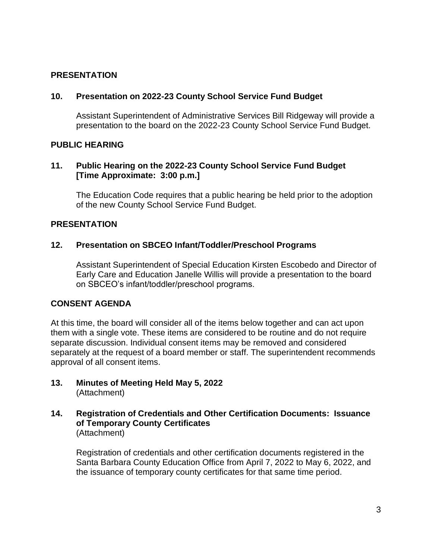### **PRESENTATION**

### **10. Presentation on 2022-23 County School Service Fund Budget**

Assistant Superintendent of Administrative Services Bill Ridgeway will provide a presentation to the board on the 2022-23 County School Service Fund Budget.

### **PUBLIC HEARING**

### **11. Public Hearing on the 2022-23 County School Service Fund Budget [Time Approximate: 3:00 p.m.]**

The Education Code requires that a public hearing be held prior to the adoption of the new County School Service Fund Budget.

### **PRESENTATION**

### **12. Presentation on SBCEO Infant/Toddler/Preschool Programs**

Assistant Superintendent of Special Education Kirsten Escobedo and Director of Early Care and Education Janelle Willis will provide a presentation to the board on SBCEO's infant/toddler/preschool programs.

### **CONSENT AGENDA**

At this time, the board will consider all of the items below together and can act upon them with a single vote. These items are considered to be routine and do not require separate discussion. Individual consent items may be removed and considered separately at the request of a board member or staff. The superintendent recommends approval of all consent items.

- **13. Minutes of Meeting Held May 5, 2022**  (Attachment)
- **14. Registration of Credentials and Other Certification Documents: Issuance of Temporary County Certificates** (Attachment)

Registration of credentials and other certification documents registered in the Santa Barbara County Education Office from April 7, 2022 to May 6, 2022, and the issuance of temporary county certificates for that same time period.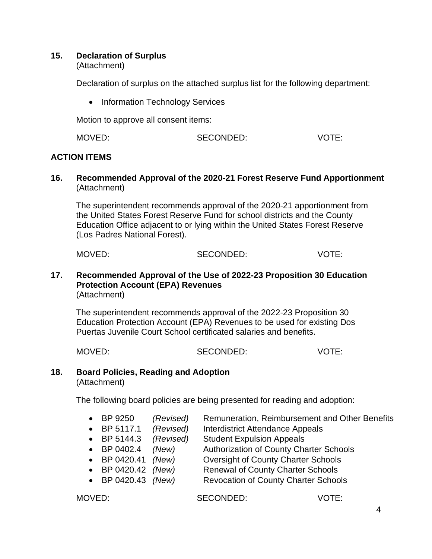### **15. Declaration of Surplus**

(Attachment)

Declaration of surplus on the attached surplus list for the following department:

• Information Technology Services

Motion to approve all consent items:

| MOVED: | SECONDED: | <b>VOTE:</b> |
|--------|-----------|--------------|
|        |           |              |

## **ACTION ITEMS**

**16. Recommended Approval of the 2020-21 Forest Reserve Fund Apportionment** (Attachment)

The superintendent recommends approval of the 2020-21 apportionment from the United States Forest Reserve Fund for school districts and the County Education Office adjacent to or lying within the United States Forest Reserve (Los Padres National Forest).

| MOVED: | SECONDED: | VOTE: |
|--------|-----------|-------|
|        |           |       |

#### **17. Recommended Approval of the Use of 2022-23 Proposition 30 Education Protection Account (EPA) Revenues** (Attachment)

The superintendent recommends approval of the 2022-23 Proposition 30 Education Protection Account (EPA) Revenues to be used for existing Dos Puertas Juvenile Court School certificated salaries and benefits.

MOVED: SECONDED: VOTE:

## **18. Board Policies, Reading and Adoption**

(Attachment)

The following board policies are being presented for reading and adoption:

|  | $\bullet$ BP 9250 | (Revised) | Remuneration, Reimbursement and Other Benefits |
|--|-------------------|-----------|------------------------------------------------|
|--|-------------------|-----------|------------------------------------------------|

- BP 5117.1 *(Revised)* Interdistrict Attendance Appeals
- BP 5144.3 *(Revised)* Student Expulsion Appeals
- BP 0402.4 *(New)* Authorization of County Charter Schools
- BP 0420.41 *(New)* Oversight of County Charter Schools
- BP 0420.42 *(New)* Renewal of County Charter Schools
- BP 0420.43 *(New)* Revocation of County Charter Schools

MOVED: SECONDED: VOTE: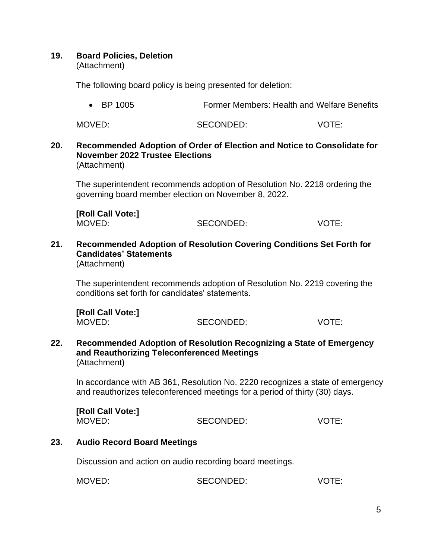### **19. Board Policies, Deletion**

(Attachment)

The following board policy is being presented for deletion:

• BP 1005 **Former Members: Health and Welfare Benefits** 

MOVED: SECONDED: VOTE:

#### **20. Recommended Adoption of Order of Election and Notice to Consolidate for November 2022 Trustee Elections** (Attachment)

The superintendent recommends adoption of Resolution No. 2218 ordering the governing board member election on November 8, 2022.

**[Roll Call Vote:]** MOVED: SECONDED: VOTE:

**21. Recommended Adoption of Resolution Covering Conditions Set Forth for Candidates' Statements** (Attachment)

The superintendent recommends adoption of Resolution No. 2219 covering the conditions set forth for candidates' statements.

**[Roll Call Vote:]** MOVED: SECONDED: VOTE:

**22. Recommended Adoption of Resolution Recognizing a State of Emergency and Reauthorizing Teleconferenced Meetings** (Attachment)

In accordance with AB 361, Resolution No. 2220 recognizes a state of emergency and reauthorizes teleconferenced meetings for a period of thirty (30) days.

**[Roll Call Vote:]** MOVED: SECONDED: VOTE:

### **23. Audio Record Board Meetings**

Discussion and action on audio recording board meetings.

MOVED: SECONDED: VOTE: